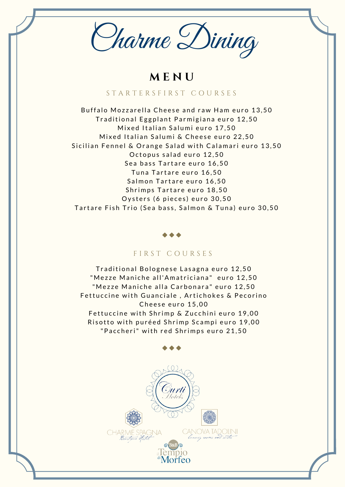Charme Dining

**M E N U**

# S T A R T E R S F I R S T C O U R S E S

Buffalo Mozzarella Cheese and raw Ham euro 13,50 Traditional Eggplant Parmigiana euro 12,50 Mixed Italian Salumi euro 17,50 Mixed Italian Salumi & Cheese euro 22,50 Sicilian Fennel & Orange Salad with Calamari euro 13,50 Octopus salad euro 12,50 Sea bass Tartare euro 16.50 Tuna Tartare euro 16,50 Salmon Tartare euro 16,50 Shrimps Tartare euro 18,50 Oysters (6 pieces) euro 30,50 Tartare Fish Trio (Sea bass, Salmon & Tuna) euro 30,50

#### FIRST COURSES

Traditional Bolognese Lasagna euro 12,50 "Mezze Maniche all'Amatriciana" euro 12,50 "Mezze Maniche alla Carbonara" euro 12,50 Fettuccine with Guanciale, Artichokes & Pecorino Cheese euro 15,00 Fettuccine with Shrimp & Zucchini euro 19,00 Risotto with puréed Shrimp Scampi euro 19,00 "Paccheri" with red Shrimps euro 21,50

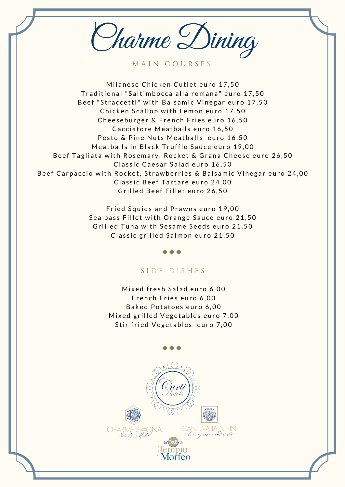Charme Dining

M A I N C O U R S E S

Milanese Chicken Cutlet euro 17,50 Traditional "Saltimbocca alla romana" euro 17,50 Beef "Straccetti" with Balsamic Vinegar euro 17,50 Chicken Scallop with Lemon euro 17,50 Cheeseburger & French Fries euro 16,50 Cacciatore Meatballs euro 16,50 Pesto & Pine Nuts Meatballs euro 16.50 Meatballs in Black Truffle Sauce euro 19,00 Beef Tagliata with Rosemary, Rocket & Grana Cheese euro 26,50 Classic Caesar Salad euro 16,50 Beef Carpaccio with Rocket, Strawberries & Balsamic Vinegar euro 24,00 Classic Beef Tartare euro 24,00 Grilled Beef Fillet euro 26,50

> Fried Squids and Prawns euro 19,00 Sea bass Fillet with Orange Sauce euro 21,50 Grilled Tuna with Sesame Seeds euro 21,50 Classic grilled Salmon euro 21,50

## S I D E D I S H E S

Mixed fresh Salad euro 6,00 French Fries euro 6,00 Baked Potatoes euro 6,00 Mixed grilled Vegetables euro 7,00 Stir fried Vegetables euro 7,00